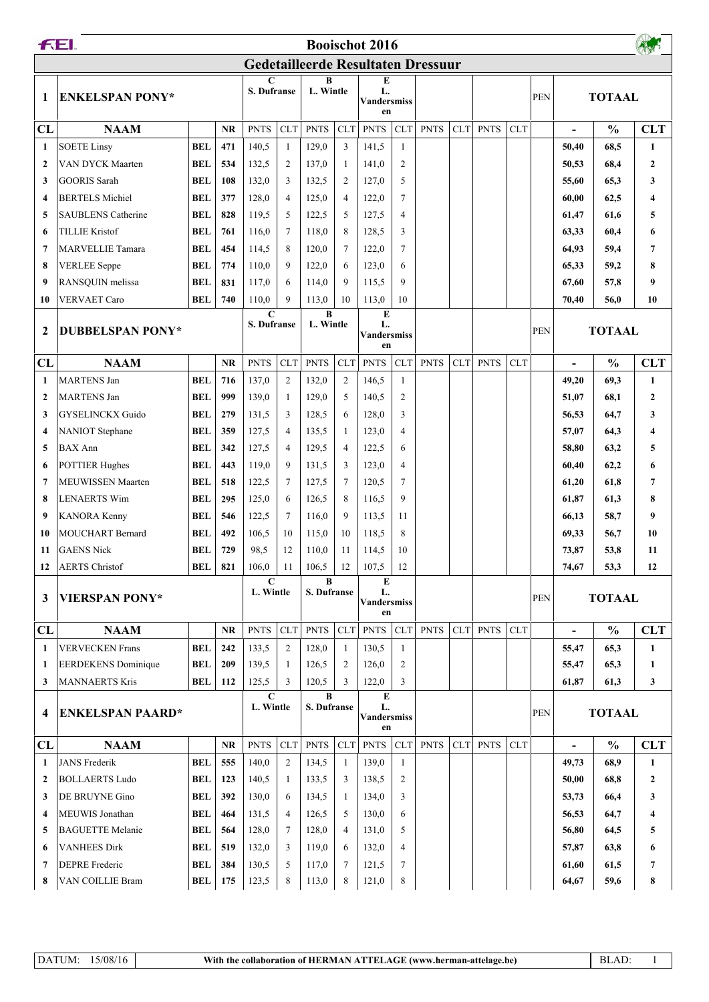| <b>FEI.</b><br><b>Booischot 2016</b>      |                            |            |                  |                            |                |                         |                                                          |                                     |                |             |            |             |               |               |                          |               |              |
|-------------------------------------------|----------------------------|------------|------------------|----------------------------|----------------|-------------------------|----------------------------------------------------------|-------------------------------------|----------------|-------------|------------|-------------|---------------|---------------|--------------------------|---------------|--------------|
| <b>Gedetailleerde Resultaten Dressuur</b> |                            |            |                  |                            |                |                         |                                                          |                                     |                |             |            |             |               |               |                          |               |              |
| 1                                         | <b>ENKELSPAN PONY*</b>     |            | C<br>S. Dufranse |                            | B<br>L. Wintle |                         | E<br>L.<br>Vandersmiss<br>en                             |                                     |                |             |            |             | <b>PEN</b>    | <b>TOTAAL</b> |                          |               |              |
| CL                                        | <b>NAAM</b>                |            | <b>NR</b>        | <b>PNTS</b>                | <b>CLT</b>     | <b>PNTS</b>             | <b>CLT</b>                                               | <b>PNTS</b>                         | <b>CLT</b>     | <b>PNTS</b> | <b>CLT</b> | <b>PNTS</b> | <b>CLT</b>    |               | $\blacksquare$           | $\frac{0}{0}$ | <b>CLT</b>   |
| 1                                         | <b>SOETE Linsy</b>         | <b>BEL</b> | 471              | 140,5                      | 1              | 129,0                   | 3                                                        | 141,5                               | -1             |             |            |             |               |               | 50,40                    | 68,5          | 1            |
| $\mathbf{2}$                              | <b>VAN DYCK Maarten</b>    | <b>BEL</b> | 534              | 132,5                      | $\overline{2}$ | 137,0                   | -1                                                       | 141,0                               | 2              |             |            |             |               |               | 50,53                    | 68,4          | 2            |
| 3                                         | <b>GOORIS</b> Sarah        | <b>BEL</b> | 108              | 132,0                      | 3              | 132,5                   | $\overline{2}$                                           | 127,0                               | 5              |             |            |             |               |               | 55,60                    | 65,3          | 3            |
| 4                                         | <b>BERTELS Michiel</b>     | <b>BEL</b> | 377              | 128,0                      | $\overline{4}$ | 125,0                   | $\overline{4}$                                           | 122,0                               | $\tau$         |             |            |             |               |               | 60,00                    | 62,5          | 4            |
| 5                                         | <b>SAUBLENS Catherine</b>  | <b>BEL</b> | 828              | 119.5                      | 5              | 122,5                   | 5                                                        | 127,5                               | $\overline{4}$ |             |            |             |               |               | 61,47                    | 61,6          | 5            |
| 6                                         | <b>TILLIE Kristof</b>      | <b>BEL</b> | 761              | 116,0                      | 7              | 118,0                   | 8                                                        | 128,5                               | 3              |             |            |             |               |               | 63,33                    | 60,4          | 6            |
| 7                                         | <b>MARVELLIE Tamara</b>    | <b>BEL</b> | 454              | 114,5                      | 8              | 120,0                   | $\overline{7}$                                           | 122,0                               | $\tau$         |             |            |             |               |               | 64,93                    | 59,4          | 7            |
| 8                                         | <b>VERLEE</b> Seppe        | <b>BEL</b> | 774              | 110,0                      | 9              | 122,0                   | 6                                                        | 123,0                               | 6              |             |            |             |               |               | 65,33                    | 59,2          | 8            |
| 9                                         | RANSQUIN melissa           | <b>BEL</b> | 831              | 117,0                      | 6              | 114,0                   | 9                                                        | 115,5                               | 9              |             |            |             |               |               | 67,60                    | 57,8          | 9            |
| 10                                        | <b>VERVAET Caro</b>        | <b>BEL</b> | 740              | 110,0                      | 9              | 113,0                   | 10                                                       | 113,0                               | 10             |             |            |             |               |               | 70,40                    | 56,0          | 10           |
| 2                                         | <b>DUBBELSPAN PONY*</b>    |            |                  | $\mathbf C$<br>S. Dufranse |                | $\bf{B}$                | ${\bf E}$<br>L. Wintle<br>L.<br><b>Vandersmiss</b><br>en |                                     |                |             |            | <b>PEN</b>  | <b>TOTAAL</b> |               |                          |               |              |
| CL                                        | <b>NAAM</b>                |            | <b>NR</b>        | <b>PNTS</b>                | <b>CLT</b>     | <b>PNTS</b>             | <b>CLT</b>                                               | <b>PNTS</b>                         | <b>CLT</b>     | <b>PNTS</b> | CLT        | <b>PNTS</b> | <b>CLT</b>    |               | $\overline{\phantom{a}}$ | $\frac{0}{0}$ | <b>CLT</b>   |
| 1                                         | <b>MARTENS Jan</b>         | <b>BEL</b> | 716              | 137,0                      | $\overline{2}$ | 132,0                   | $\overline{2}$                                           | 146,5                               | -1             |             |            |             |               |               | 49,20                    | 69,3          | $\mathbf{1}$ |
| $\mathbf{2}$                              | <b>MARTENS</b> Jan         | <b>BEL</b> | 999              | 139,0                      | 1              | 129,0                   | 5                                                        | 140,5                               | $\overline{2}$ |             |            |             |               |               | 51,07                    | 68,1          | 2            |
| 3                                         | <b>GYSELINCKX Guido</b>    | <b>BEL</b> | 279              | 131,5                      | 3              | 128,5                   | 6                                                        | 128,0                               | 3              |             |            |             |               |               | 56,53                    | 64,7          | 3            |
| $\overline{\mathbf{4}}$                   | <b>NANIOT</b> Stephane     | <b>BEL</b> | 359              | 127,5                      | 4              | 135,5                   | -1                                                       | 123,0                               | $\overline{4}$ |             |            |             |               |               | 57,07                    | 64,3          | 4            |
| 5                                         | <b>BAX Ann</b>             | <b>BEL</b> | 342              | 127,5                      | 4              | 129,5                   | $\overline{4}$                                           | 122,5                               | 6              |             |            |             |               |               | 58,80                    | 63,2          | 5            |
| 6                                         | <b>POTTIER Hughes</b>      | <b>BEL</b> | 443              | 119,0                      | 9              | 131,5                   | 3                                                        | 123,0                               | $\overline{4}$ |             |            |             |               |               | 60,40                    | 62,2          | 6            |
| 7                                         | <b>MEUWISSEN Maarten</b>   | <b>BEL</b> | 518              | 122,5                      | $\tau$         | 127,5                   | $7\phantom{.0}$                                          | 120,5                               | $\tau$         |             |            |             |               |               | 61,20                    | 61,8          | 7            |
| 8                                         | <b>LENAERTS Wim</b>        | <b>BEL</b> | 295              | 125,0                      | 6              | 126,5                   | 8                                                        | 116,5                               | 9              |             |            |             |               |               | 61,87                    | 61,3          | 8            |
| 9                                         | <b>KANORA Kenny</b>        | <b>BEL</b> | 546              | 122,5                      | 7              | 116,0                   | 9                                                        | 113,5                               | 11             |             |            |             |               |               | 66,13                    | 58,7          | 9            |
| 10                                        | <b>MOUCHART Bernard</b>    | <b>BEL</b> | 492              | 106,5                      | 10             | 115,0                   | 10                                                       | 118,5                               | 8              |             |            |             |               |               | 69,33                    | 56,7          | 10           |
| 11                                        | <b>GAENS</b> Nick          | <b>BEL</b> | 729              | 98,5                       | 12             | 110,0                   | 11                                                       | 114,5                               | 10             |             |            |             |               |               | 73,87                    | 53,8          | 11           |
| 12                                        | <b>AERTS</b> Christof      | <b>BEL</b> | 821              | 106,0                      | 11             | 106,5                   | 12                                                       | 107,5                               | $12\,$         |             |            |             |               |               | 74,67                    | 53,3          | 12           |
| 3                                         | <b>VIERSPAN PONY*</b>      |            |                  | C<br>L. Wintle             |                | $\bf{B}$<br>S. Dufranse |                                                          | E<br>L.<br><b>Vandersmiss</b><br>en |                |             |            |             |               | <b>PEN</b>    | <b>TOTAAL</b>            |               |              |
| CL                                        | <b>NAAM</b>                |            | <b>NR</b>        | <b>PNTS</b>                | <b>CLT</b>     | <b>PNTS</b>             | <b>CLT</b>                                               | <b>PNTS</b>                         | <b>CLT</b>     | <b>PNTS</b> | <b>CLT</b> | <b>PNTS</b> | <b>CLT</b>    |               |                          | $\frac{0}{0}$ | <b>CLT</b>   |
| 1                                         | <b>VERVECKEN Frans</b>     | <b>BEL</b> | 242              | 133,5                      | $\overline{2}$ | 128,0                   | -1                                                       | 130,5                               | 1              |             |            |             |               |               | 55,47                    | 65,3          | 1            |
| 1                                         | <b>EERDEKENS</b> Dominique | <b>BEL</b> | 209              | 139,5                      | 1              | 126,5                   | 2                                                        | 126,0                               | 2              |             |            |             |               |               | 55,47                    | 65,3          | 1            |
| 3                                         | <b>MANNAERTS Kris</b>      | <b>BEL</b> | 112              | 125,5                      | 3              | 120,5                   | 3                                                        | 122,0                               | 3              |             |            |             |               |               | 61,87                    | 61,3          | 3            |
| 4                                         | <b>ENKELSPAN PAARD*</b>    |            |                  | $\mathbf C$<br>L. Wintle   |                | $\bf{B}$<br>S. Dufranse |                                                          | E<br>L.<br><b>Vandersmiss</b><br>en |                |             |            |             |               | <b>PEN</b>    | <b>TOTAAL</b>            |               |              |
| CL                                        | <b>NAAM</b>                |            | <b>NR</b>        | <b>PNTS</b>                | <b>CLT</b>     | <b>PNTS</b>             | <b>CLT</b>                                               | <b>PNTS</b>                         | <b>CLT</b>     | <b>PNTS</b> | <b>CLT</b> | <b>PNTS</b> | <b>CLT</b>    |               |                          | $\frac{0}{0}$ | <b>CLT</b>   |
| 1                                         | <b>JANS</b> Frederik       | <b>BEL</b> | 555              | 140,0                      | $\overline{2}$ | 134,5                   | 1                                                        | 139,0                               | 1              |             |            |             |               |               | 49,73                    | 68,9          | 1            |
| $\mathbf{2}$                              | <b>BOLLAERTS Ludo</b>      | <b>BEL</b> | 123              | 140,5                      | 1              | 133,5                   | 3                                                        | 138,5                               | 2              |             |            |             |               |               | 50,00                    | 68,8          | 2            |
| 3                                         | DE BRUYNE Gino             | <b>BEL</b> | 392              | 130,0                      | 6              | 134,5                   | -1                                                       | 134,0                               | 3              |             |            |             |               |               | 53,73                    | 66,4          | 3            |
| $\overline{\mathbf{4}}$                   | MEUWIS Jonathan            | <b>BEL</b> | 464              | 131,5                      | $\overline{4}$ | 126,5                   | 5                                                        | 130,0                               | 6              |             |            |             |               |               | 56,53                    | 64,7          | 4            |
| 5                                         | <b>BAGUETTE Melanie</b>    | <b>BEL</b> | 564              | 128,0                      | 7              | 128,0                   | $\overline{4}$                                           | 131,0                               | 5              |             |            |             |               |               | 56,80                    | 64,5          | 5            |
| 6                                         | <b>VANHEES Dirk</b>        | <b>BEL</b> | 519              | 132,0                      | 3              | 119,0                   | 6                                                        | 132,0                               | $\overline{4}$ |             |            |             |               |               | 57,87                    | 63,8          | 6            |
| 7                                         | <b>DEPRE</b> Frederic      | BEL        | 384              | 130,5                      | 5              | 117,0                   | 7                                                        | 121,5                               | $\tau$         |             |            |             |               |               | 61,60                    | 61,5          | 7            |
| 8                                         | VAN COILLIE Bram           | BEL        | 175              | 123,5                      | 8              | 113,0                   | 8                                                        | 121,0                               | 8              |             |            |             |               |               | 64,67                    | 59,6          | 8            |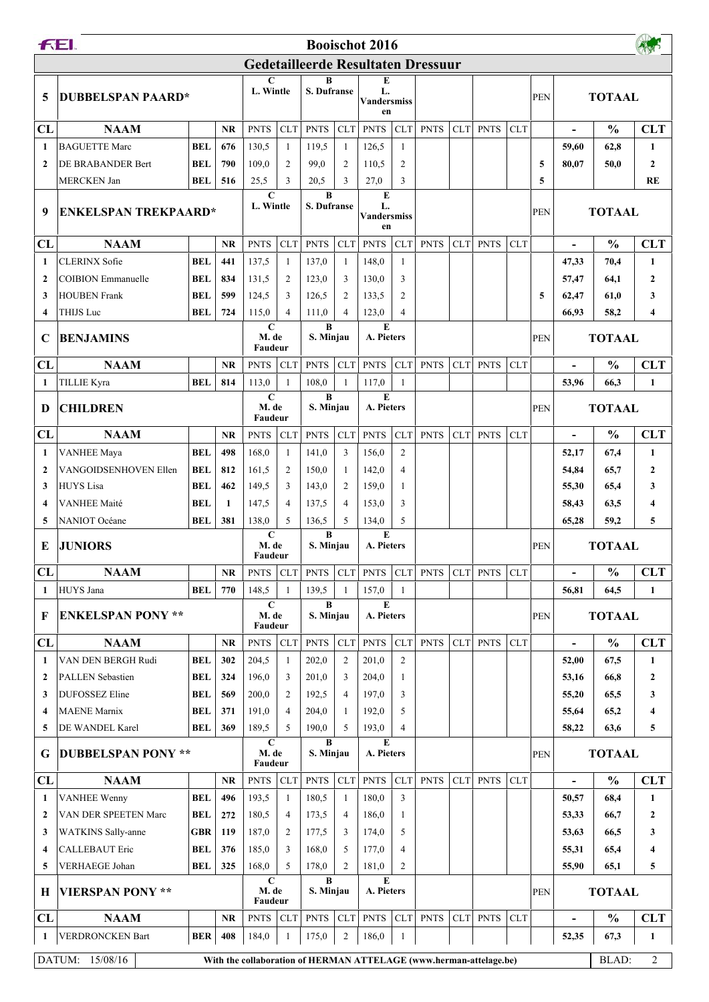| <b>FEI.</b><br><b>Booischot 2016</b> |                                             |                   |              |                                 |                               |                         |                                          |                                     |                     |                                                                    |            |             |            |            |                |               |                |
|--------------------------------------|---------------------------------------------|-------------------|--------------|---------------------------------|-------------------------------|-------------------------|------------------------------------------|-------------------------------------|---------------------|--------------------------------------------------------------------|------------|-------------|------------|------------|----------------|---------------|----------------|
|                                      | <b>Gedetailleerde Resultaten Dressuur</b>   |                   |              |                                 |                               |                         |                                          |                                     |                     |                                                                    |            |             |            |            |                |               |                |
| 5                                    | <b>DUBBELSPAN PAARD*</b>                    |                   |              | C<br>L. Wintle                  |                               | B<br><b>S. Dufranse</b> |                                          | E<br>L.<br><b>Vandersmiss</b><br>en |                     |                                                                    |            |             |            | <b>PEN</b> |                | <b>TOTAAL</b> |                |
| CL                                   | <b>NAAM</b>                                 |                   | <b>NR</b>    | <b>PNTS</b>                     | <b>CLT</b>                    | <b>PNTS</b>             | <b>CLT</b>                               | <b>PNTS</b>                         | <b>CLT</b>          | <b>PNTS</b>                                                        | <b>CLT</b> | <b>PNTS</b> | <b>CLT</b> |            | $\overline{a}$ | $\frac{0}{0}$ | <b>CLT</b>     |
| 1                                    | <b>BAGUETTE Marc</b>                        | <b>BEL</b>        | 676          | 130,5                           | 1                             | 119,5                   | -1                                       | 126,5                               | 1                   |                                                                    |            |             |            |            | 59,60          | 62,8          | 1              |
| $\mathbf{2}$                         | DE BRABANDER Bert                           | <b>BEL</b>        | 790          | 109,0                           | $\overline{2}$                | 99,0                    | $\overline{2}$                           | 110.5                               | 2                   |                                                                    |            |             |            | 5          | 80,07          | 50,0          | $\overline{2}$ |
|                                      | <b>MERCKEN Jan</b>                          | <b>BEL</b>        | 516          | 25,5                            | 3                             | 20,5                    | 3                                        | 27,0                                | 3                   |                                                                    |            |             |            | 5          |                |               | <b>RE</b>      |
| 9                                    | <b>ENKELSPAN TREKPAARD*</b>                 |                   |              | $\mathbf C$<br>L. Wintle        |                               | $\bf{B}$<br>S. Dufranse |                                          | E<br>L.<br><b>Vandersmiss</b><br>en |                     |                                                                    |            |             |            | <b>PEN</b> | <b>TOTAAL</b>  |               |                |
| CL                                   | <b>NAAM</b>                                 |                   | <b>NR</b>    | <b>PNTS</b>                     | <b>CLT</b>                    | <b>PNTS</b>             | CLT <sup>1</sup>                         | <b>PNTS</b>                         | <b>CLT</b>          | <b>PNTS</b>                                                        | <b>CLT</b> | <b>PNTS</b> | <b>CLT</b> |            | $\blacksquare$ | $\frac{0}{0}$ | <b>CLT</b>     |
| 1                                    | <b>CLERINX Sofie</b>                        | <b>BEL</b>        | 441          | 137,5                           | 1                             | 137,0                   | -1                                       | 148,0                               | 1                   |                                                                    |            |             |            |            | 47,33          | 70,4          | 1              |
| $\mathbf{2}$                         | <b>COIBION</b> Emmanuelle                   | <b>BEL</b>        | 834          | 131,5                           | 2                             | 123,0                   | 3                                        | 130,0                               | 3                   |                                                                    |            |             |            |            | 57,47          | 64,1          | 2              |
| 3                                    | <b>HOUBEN Frank</b>                         | <b>BEL</b>        | 599          | 124,5                           | 3                             | 126,5                   | $\overline{c}$                           | 133,5                               | 2                   |                                                                    |            |             |            | 5          | 62,47          | 61,0          | 3              |
| $\overline{\mathbf{4}}$              | THIJS Luc                                   | <b>BEL</b>        | 724          | 115,0                           | $\overline{4}$                | 111,0                   | $\overline{4}$                           | 123,0                               | $\overline{4}$      |                                                                    |            |             |            |            | 66,93          | 58,2          | 4              |
| C                                    | <b>BENJAMINS</b>                            |                   |              | $\mathbf C$<br>M. de<br>Faudeur |                               |                         | $\bf{B}$<br>E<br>A. Pieters<br>S. Minjau |                                     |                     |                                                                    |            |             |            | <b>PEN</b> | <b>TOTAAL</b>  |               |                |
| CL                                   | <b>NAAM</b>                                 |                   | <b>NR</b>    | <b>PNTS</b>                     | <b>CLT</b>                    | <b>PNTS</b>             | CLT                                      | <b>PNTS</b>                         | <b>CLT</b>          | <b>PNTS</b>                                                        | <b>CLT</b> | <b>PNTS</b> | <b>CLT</b> |            |                | $\frac{0}{0}$ | <b>CLT</b>     |
| 1                                    | TILLIE Kyra                                 | <b>BEL</b>        | 814          | 113,0                           | $\mathbf{1}$                  | 108,0                   | $\overline{1}$                           | 117,0                               | $\mathbf{1}$        |                                                                    |            |             |            |            | 53,96          | 66,3          | $\mathbf{1}$   |
| D                                    | <b>CHILDREN</b>                             |                   |              | $\mathbf C$<br>M. de<br>Faudeur |                               | B<br>S. Minjau          |                                          | E<br>A. Pieters                     |                     |                                                                    |            |             | <b>PEN</b> |            | <b>TOTAAL</b>  |               |                |
| CL                                   | <b>NAAM</b>                                 |                   | <b>NR</b>    | <b>PNTS</b>                     | <b>CLT</b>                    | <b>PNTS</b>             | CLT                                      | <b>PNTS</b>                         | <b>CLT</b>          | <b>PNTS</b>                                                        | <b>CLT</b> | <b>PNTS</b> | <b>CLT</b> |            | $\blacksquare$ | $\frac{0}{0}$ | <b>CLT</b>     |
| 1                                    | <b>VANHEE Maya</b>                          | <b>BEL</b>        | 498          | 168,0                           | -1                            | 141,0                   | 3                                        | 156,0                               | $\overline{2}$      |                                                                    |            |             |            |            | 52,17          | 67,4          | $\mathbf{1}$   |
| $\mathbf{2}$                         | VANGOIDSENHOVEN Ellen                       | <b>BEL</b>        | 812          | 161,5                           | $\overline{2}$                | 150,0                   | $\overline{1}$                           | 142,0                               | $\overline{4}$      |                                                                    |            |             |            |            | 54,84          | 65,7          | 2              |
| 3                                    | <b>HUYS</b> Lisa                            | BEL               | 462          | 149,5                           | 3                             | 143,0                   | 2                                        | 159,0                               | $\mathbf{1}$        |                                                                    |            |             |            |            | 55,30          | 65,4          | 3              |
| $\overline{\mathbf{4}}$              | <b>VANHEE Maité</b>                         | <b>BEL</b>        | $\mathbf{1}$ | 147,5                           | $\overline{4}$                | 137,5                   | $\overline{4}$                           | 153,0                               | 3                   |                                                                    |            |             |            |            | 58,43          | 63,5          | 4              |
| 5                                    | <b>NANIOT</b> Océane                        | BEL               | 381          | 138,0<br>$\mathbf C$            | 5                             | 136,5<br>$\bf{B}$       | 5                                        | 134,0<br>E                          | 5                   |                                                                    |            |             |            |            | 65,28          | 59,2          | 5              |
| E                                    | <b>JUNIORS</b>                              |                   |              | M. de<br>Faudeur                |                               | S. Minjau               |                                          | A. Pieters                          |                     |                                                                    |            |             |            | <b>PEN</b> |                | <b>TOTAAL</b> |                |
| CL                                   | <b>NAAM</b>                                 |                   | <b>NR</b>    | <b>PNTS</b>                     | ${\rm CLT}$                   | <b>PNTS</b>             | <b>CLT</b>                               | <b>PNTS</b>                         | CLT                 | <b>PNTS</b>                                                        | CLT        | <b>PNTS</b> | CLT        |            |                | $\frac{0}{0}$ | <b>CLT</b>     |
| 1                                    | HUYS Jana                                   | <b>BEL</b>        | 770          | 148,5                           |                               | 139,5                   |                                          | 157,0                               | $\mathbf{1}$        |                                                                    |            |             |            |            | 56,81          | 64,5          | 1              |
| F                                    | <b>ENKELSPAN PONY **</b>                    |                   |              | C<br>M. de<br>Faudeur           |                               | B<br>S. Minjau          |                                          | E<br>A. Pieters                     |                     |                                                                    |            |             |            | <b>PEN</b> |                | <b>TOTAAL</b> |                |
| CL                                   | <b>NAAM</b>                                 |                   | NR           | <b>PNTS</b>                     | <b>CLT</b>                    | <b>PNTS</b>             | CLT                                      | <b>PNTS</b>                         | <b>CLT</b>          | <b>PNTS</b>                                                        | <b>CLT</b> | <b>PNTS</b> | <b>CLT</b> |            | $\blacksquare$ | $\frac{0}{0}$ | <b>CLT</b>     |
| 1                                    | VAN DEN BERGH Rudi                          | <b>BEL</b>        | 302          | 204,5                           | 1                             | 202,0                   | $\overline{2}$                           | 201,0                               | $\overline{2}$      |                                                                    |            |             |            |            | 52,00          | 67,5          | 1              |
| 2                                    | <b>PALLEN</b> Sebastien                     | BEL               | 324          | 196,0                           | 3                             | 201,0                   | 3                                        | 204,0                               | $\mathbf{1}$        |                                                                    |            |             |            |            | 53,16          | 66,8          | 2              |
| 3                                    | <b>DUFOSSEZ Eline</b>                       | BEL               | 569          | 200,0                           | 2                             | 192,5                   | $\overline{4}$                           | 197,0                               | 3                   |                                                                    |            |             |            |            | 55,20          | 65,5          | 3              |
| 4<br>5                               | <b>MAENE</b> Marnix<br>DE WANDEL Karel      | BEL<br>BEL        | 371<br>369   | 191,0<br>189.5                  | $\overline{4}$<br>5           | 204,0<br>190,0          | $\mathbf{1}$<br>5                        | 192,0<br>193,0                      | 5<br>$\overline{4}$ |                                                                    |            |             |            |            | 55,64<br>58,22 | 65,2<br>63,6  | 4<br>5         |
|                                      |                                             |                   |              | $\mathbf C$                     |                               | $\bf{B}$                |                                          | E                                   |                     |                                                                    |            |             |            |            |                |               |                |
| G                                    | <b>DUBBELSPAN PONY **</b>                   |                   |              |                                 | M. de<br>S. Minjau<br>Faudeur |                         |                                          | A. Pieters                          |                     |                                                                    |            |             |            | <b>PEN</b> | <b>TOTAAL</b>  |               |                |
| CL                                   | <b>NAAM</b>                                 |                   | NR           | <b>PNTS</b>                     | <b>CLT</b>                    | <b>PNTS</b>             | CLT                                      | <b>PNTS</b>                         | <b>CLT</b>          | <b>PNTS</b>                                                        | CLT        | <b>PNTS</b> | <b>CLT</b> |            | $\blacksquare$ | $\frac{0}{0}$ | <b>CLT</b>     |
| 1                                    | <b>VANHEE Wenny</b><br>VAN DER SPEETEN Marc | <b>BEL</b>        | 496          | 193,5                           | 1                             | 180,5<br>173,5          | -1                                       | 180,0                               | 3                   |                                                                    |            |             |            |            | 50,57          | 68,4          | $\mathbf{1}$   |
| $\mathbf{2}$                         |                                             | BEL<br><b>GBR</b> | 272<br>119   | 180.5                           | $\overline{4}$                |                         | $\overline{4}$                           | 186,0                               | 1                   |                                                                    |            |             |            |            | 53,33          | 66,7          | 2              |
| 3<br>4                               | WATKINS Sally-anne<br><b>CALLEBAUT Eric</b> | BEL               | 376          | 187,0<br>185,0                  | $\overline{2}$<br>3           | 177,5<br>168,0          | 3<br>5                                   | 174,0<br>177,0                      | 5<br>$\overline{4}$ |                                                                    |            |             |            |            | 53,63<br>55,31 | 66,5<br>65,4  | 3<br>4         |
| 5                                    | VERHAEGE Johan                              | <b>BEL</b>        | 325          | 168,0                           | 5                             | 178,0                   | $\overline{2}$                           | 181,0                               | 2                   |                                                                    |            |             |            |            | 55,90          | 65,1          | 5              |
| H                                    | <b>VIERSPAN PONY **</b>                     |                   |              | $\mathbf C$<br>M. de<br>Faudeur |                               | $\bf{B}$<br>S. Minjau   |                                          | E<br>A. Pieters                     |                     |                                                                    |            |             |            | <b>PEN</b> | <b>TOTAAL</b>  |               |                |
| CL                                   | <b>NAAM</b>                                 |                   | <b>NR</b>    | <b>PNTS</b>                     | <b>CLT</b>                    | <b>PNTS</b>             | CLT                                      | <b>PNTS</b>                         | <b>CLT</b>          | <b>PNTS</b>                                                        | <b>CLT</b> | <b>PNTS</b> | <b>CLT</b> |            |                | $\frac{0}{0}$ | <b>CLT</b>     |
| 1                                    | VERDRONCKEN Bart                            | <b>BER</b>        | 408          | 184,0                           | -1                            | 175,0                   | $\overline{c}$                           | 186,0                               | $\mathbf{1}$        |                                                                    |            |             |            |            | 52,35          | 67,3          | $\mathbf{1}$   |
|                                      | DATUM: 15/08/16                             |                   |              |                                 |                               |                         |                                          |                                     |                     | With the collaboration of HERMAN ATTELAGE (www.herman-attelage.be) |            |             |            |            |                | BLAD:         | $\overline{2}$ |